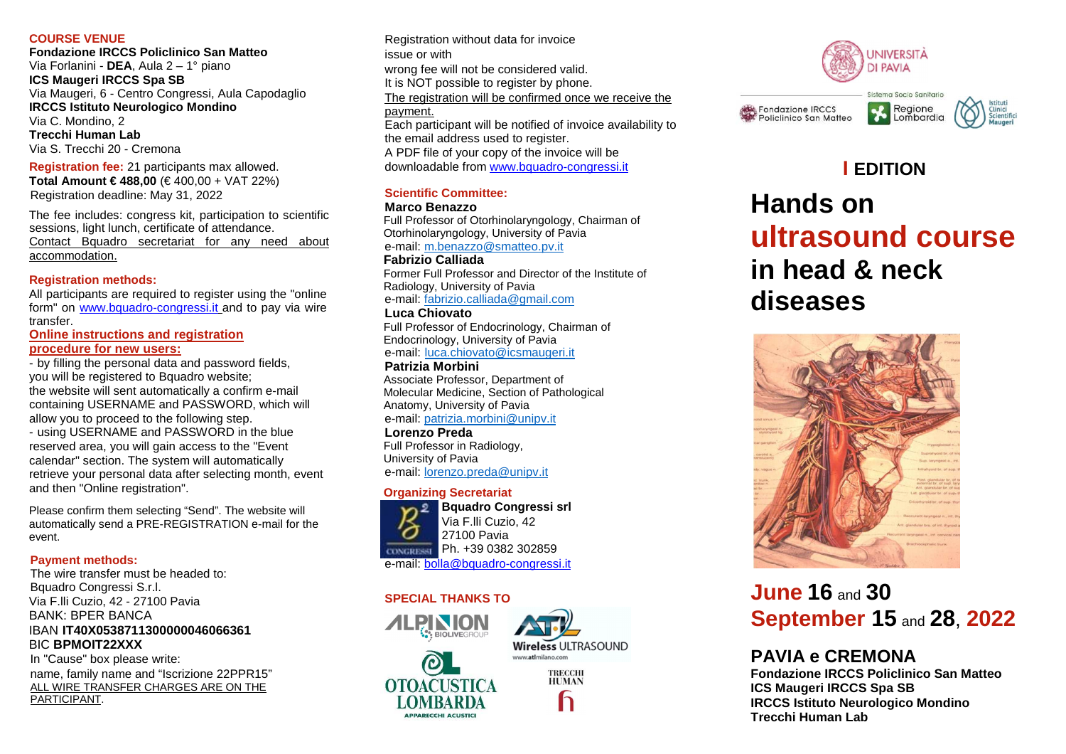#### **COURSE VENUE**

 **Fondazione IRCCS Policlinico San Matteo** Via Forlanini - **DEA**, Aula 2 – 1° piano **ICS Maugeri IRCCS Spa SB**  Via Maugeri, 6 - Centro Congressi, Aula Capodaglio **IRCCS Istituto Neurologico Mondino** Via C. Mondino, 2 **Trecchi Human Lab** Via S. Trecchi 20 - Cremona

**Registration fee:** 21 participants max allowed. **Total Amount € 488,00** (€ 400,00 + VAT 22%) Registration deadline: May 31, 2022

The fee includes: congress kit, participation to scientific sessions, light lunch, certificate of attendance.Contact Bquadro secretariat for any need about accommodation.

#### **Registration methods:**

 All participants are required to register using the "online form" on www.bquadro-congressi.it and to pay via wire transfer.

**Online instructions and registration** 

### **procedure for new users:**

 - by filling the personal data and password fields,you will be registered to Bquadro website; the website will sent automatically a confirm e-mail containing USERNAME and PASSWORD, which will allow you to proceed to the following step. - using USERNAME and PASSWORD in the blue reserved area, you will gain access to the "Event

calendar" section. The system will automatically retrieve your personal data after selecting month, event and then "Online registration".

Please confirm them selecting "Send". The website will automatically send a PRE-REGISTRATION e-mail for the event.

#### **Payment methods:**

 The wire transfer must be headed to:Bquadro Congressi S.r.l. Via F.lli Cuzio, 42 - 27100 Pavia BANK: BPER BANCA IBAN **IT40X0538711300000046066361** BIC **BPMOIT22XXX**

 In "Cause" box please write: name, family name and "Iscrizione 22PPR15"ALL WIRE TRANSFER CHARGES ARE ON THE PARTICIPANT.

Registration without data for invoice issue or with wrong fee will not be considered valid. It is NOT possible to register by phone.The registration will be confirmed once we receive the payment. Each participant will be notified of invoice availability to the email address used to register.A PDF file of your copy of the invoice will be

downloadable from www.bquadro-congressi.it

### **Scientific Committee:**

#### **Marco Benazzo**

 Full Professor of Otorhinolaryngology, Chairman of Otorhinolaryngology, University of Pavia e-mail: m.benazzo@smatteo.pv.it

**Fabrizio Calliada** 

 Former Full Professor and Director of the Institute of Radiology, University of Pavia e-mail: fabrizio.calliada@gmail.com

### **Luca Chiovato**

 Full Professor of Endocrinology, Chairman of Endocrinology, University of Pavia e-mail: <u>luca.chiovato@icsmaugeri.it</u>

**Patrizia Morbini**  Associate Professor, Department of Molecular Medicine, Section of Pathological Anatomy, University of Pavia e-mail: patrizia.morbini@unipv.it

### **Lorenzo Preda**

 Full Professor in Radiology, University of Pavia e-mail: <u>lorenzo.preda@unipv.it</u>

#### **Organizing Secretariat**



 **Bquadro Congressi srl**Via F.lli Cuzio, 4227100 Pavia Ph. +39 0382 302859e-mail: <u>bolla@bquadro-congressi.it</u>

#### **SPECIAL THANKS TO**











# **I EDITION Hands on ultrasound coursein head & neck diseases**



# **June <sup>16</sup>** and **<sup>30</sup> September 15** and **<sup>28</sup>**, **<sup>2022</sup>**

# **PAVIA e CREMONA**

 **Fondazione IRCCS Policlinico San Matteo ICS Maugeri IRCCS Spa SB IRCCS Istituto Neurologico Mondino Trecchi Human Lab**